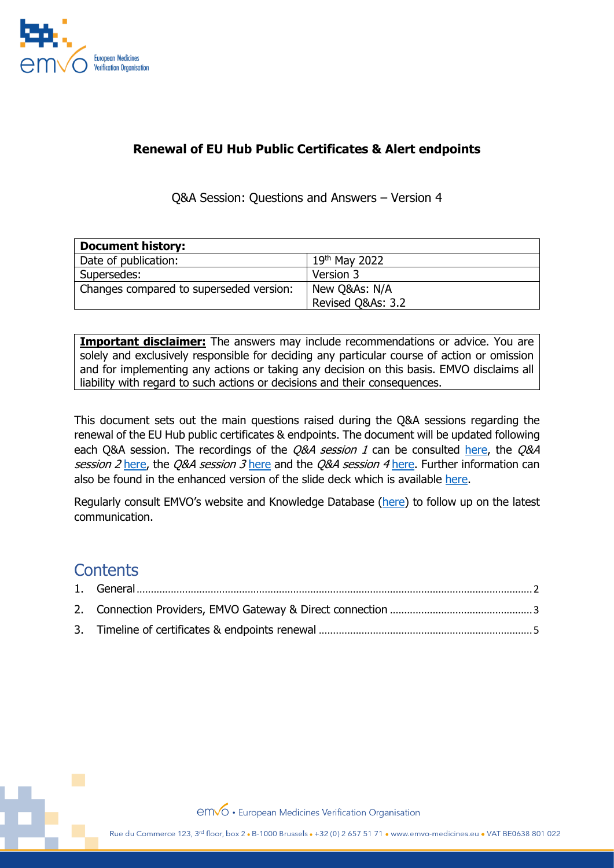

## **Renewal of EU Hub Public Certificates & Alert endpoints**

Q&A Session: Questions and Answers – Version 4

| <b>Document history:</b>                |                   |
|-----------------------------------------|-------------------|
| Date of publication:                    | $19th$ May 2022   |
| Supersedes:                             | Version 3         |
| Changes compared to superseded version: | New Q&As: N/A     |
|                                         | Revised Q&As: 3.2 |

**Important disclaimer:** The answers may include recommendations or advice. You are solely and exclusively responsible for deciding any particular course of action or omission and for implementing any actions or taking any decision on this basis. EMVO disclaims all liability with regard to such actions or decisions and their consequences.

This document sets out the main questions raised during the Q&A sessions regarding the renewal of the EU Hub public certificates & endpoints. The document will be updated following each Q&A session. The recordings of the *Q&A session 1* can be consulted [here,](https://youtu.be/Z1HQdINuwTo) the *Q&A* session 2 [here,](https://youtu.be/qJ2ItxDBXic) the Q&A session 3 [here](https://youtu.be/IcMa6qZtfbg) and the Q&A session 4 [here.](https://youtu.be/YbuaVc3tbg4) Further information can also be found in the enhanced version of the slide deck which is available [here.](https://emvo-medicines.eu/new/wp-content/uploads/Certificate-Renewal-Presentation-04052022.pdf)

Regularly consult EMVO's website and Knowledge Database [\(here\)](https://emvo-medicines.eu/knowledge-database/) to follow up on the latest communication.

## **Contents**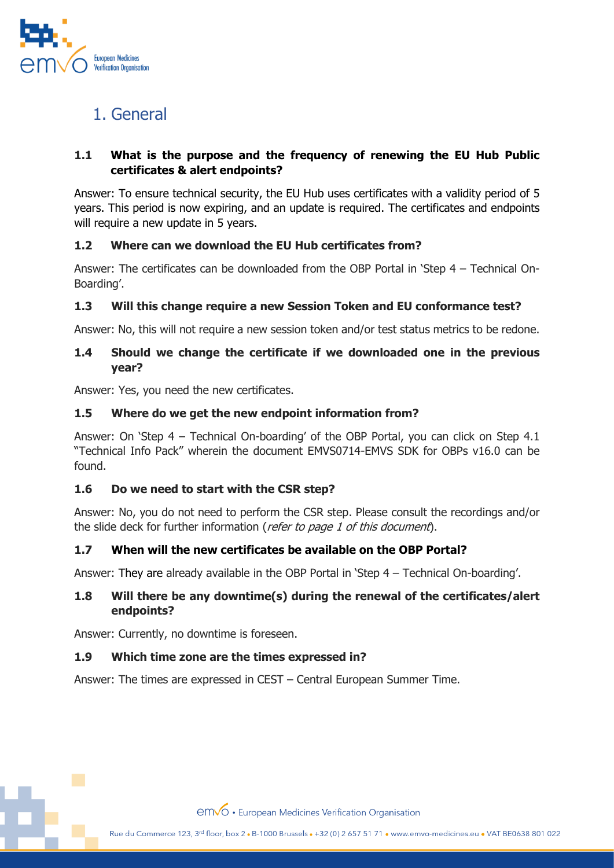

# <span id="page-1-0"></span>1. General

## **1.1 What is the purpose and the frequency of renewing the EU Hub Public certificates & alert endpoints?**

Answer: To ensure technical security, the EU Hub uses certificates with a validity period of 5 years. This period is now expiring, and an update is required. The certificates and endpoints will require a new update in 5 years.

### **1.2 Where can we download the EU Hub certificates from?**

Answer: The certificates can be downloaded from the OBP Portal in 'Step 4 – Technical On-Boarding'.

## **1.3 Will this change require a new Session Token and EU conformance test?**

Answer: No, this will not require a new session token and/or test status metrics to be redone.

#### **1.4 Should we change the certificate if we downloaded one in the previous year?**

Answer: Yes, you need the new certificates.

#### **1.5 Where do we get the new endpoint information from?**

Answer: On 'Step 4 – Technical On-boarding' of the OBP Portal, you can click on Step 4.1 "Technical Info Pack" wherein the document EMVS0714-EMVS SDK for OBPs v16.0 can be found.

#### **1.6 Do we need to start with the CSR step?**

Answer: No, you do not need to perform the CSR step. Please consult the recordings and/or the slide deck for further information (refer to page 1 of this document).

#### **1.7 When will the new certificates be available on the OBP Portal?**

Answer: They are already available in the OBP Portal in 'Step 4 – Technical On-boarding'.

#### **1.8 Will there be any downtime(s) during the renewal of the certificates/alert endpoints?**

Answer: Currently, no downtime is foreseen.

#### **1.9 Which time zone are the times expressed in?**

Answer: The times are expressed in CEST – Central European Summer Time.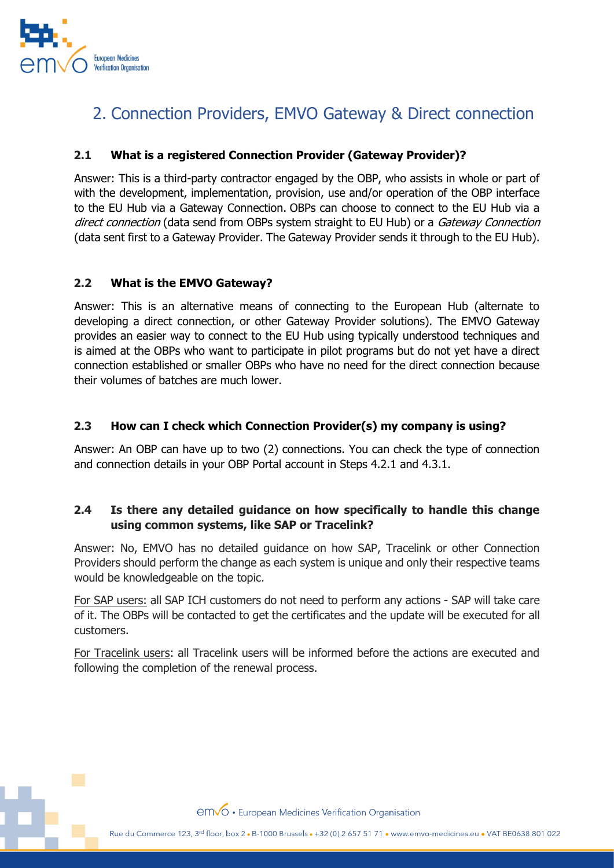

# <span id="page-2-0"></span>2. Connection Providers, EMVO Gateway & Direct connection

#### **2.1 What is a registered Connection Provider (Gateway Provider)?**

Answer: This is a third-party contractor engaged by the OBP, who assists in whole or part of with the development, implementation, provision, use and/or operation of the OBP interface to the EU Hub via a Gateway Connection. OBPs can choose to connect to the EU Hub via a direct connection (data send from OBPs system straight to EU Hub) or a Gateway Connection (data sent first to a Gateway Provider. The Gateway Provider sends it through to the EU Hub).

#### **2.2 What is the EMVO Gateway?**

Answer: This is an alternative means of connecting to the European Hub (alternate to developing a direct connection, or other Gateway Provider solutions). The EMVO Gateway provides an easier way to connect to the EU Hub using typically understood techniques and is aimed at the OBPs who want to participate in pilot programs but do not yet have a direct connection established or smaller OBPs who have no need for the direct connection because their volumes of batches are much lower.

#### **2.3 How can I check which Connection Provider(s) my company is using?**

Answer: An OBP can have up to two (2) connections. You can check the type of connection and connection details in your OBP Portal account in Steps 4.2.1 and 4.3.1.

### **2.4 Is there any detailed guidance on how specifically to handle this change using common systems, like SAP or Tracelink?**

Answer: No, EMVO has no detailed guidance on how SAP, Tracelink or other Connection Providers should perform the change as each system is unique and only their respective teams would be knowledgeable on the topic.

For SAP users: all SAP ICH customers do not need to perform any actions - SAP will take care of it. The OBPs will be contacted to get the certificates and the update will be executed for all customers.

For Tracelink users: all Tracelink users will be informed before the actions are executed and following the completion of the renewal process.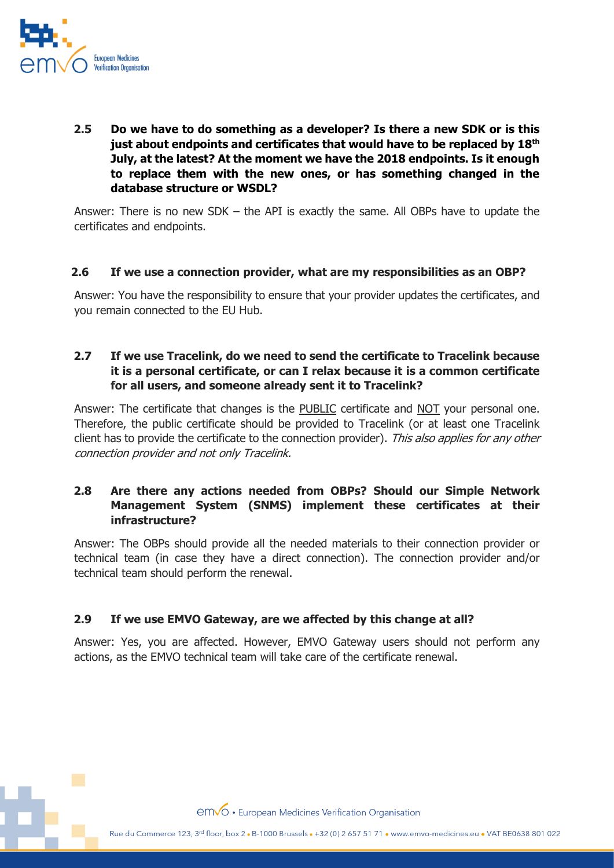

**2.5 Do we have to do something as a developer? Is there a new SDK or is this just about endpoints and certificates that would have to be replaced by 18th July, at the latest? At the moment we have the 2018 endpoints. Is it enough to replace them with the new ones, or has something changed in the database structure or WSDL?**

Answer: There is no new SDK – the API is exactly the same. All OBPs have to update the certificates and endpoints.

#### **2.6 If we use a connection provider, what are my responsibilities as an OBP?**

Answer: You have the responsibility to ensure that your provider updates the certificates, and you remain connected to the EU Hub.

#### **2.7 If we use Tracelink, do we need to send the certificate to Tracelink because it is a personal certificate, or can I relax because it is a common certificate for all users, and someone already sent it to Tracelink?**

Answer: The certificate that changes is the PUBLIC certificate and NOT your personal one. Therefore, the public certificate should be provided to Tracelink (or at least one Tracelink client has to provide the certificate to the connection provider). This also applies for any other connection provider and not only Tracelink.

### **2.8 Are there any actions needed from OBPs? Should our Simple Network Management System (SNMS) implement these certificates at their infrastructure?**

Answer: The OBPs should provide all the needed materials to their connection provider or technical team (in case they have a direct connection). The connection provider and/or technical team should perform the renewal.

#### **2.9 If we use EMVO Gateway, are we affected by this change at all?**

Answer: Yes, you are affected. However, EMVO Gateway users should not perform any actions, as the EMVO technical team will take care of the certificate renewal.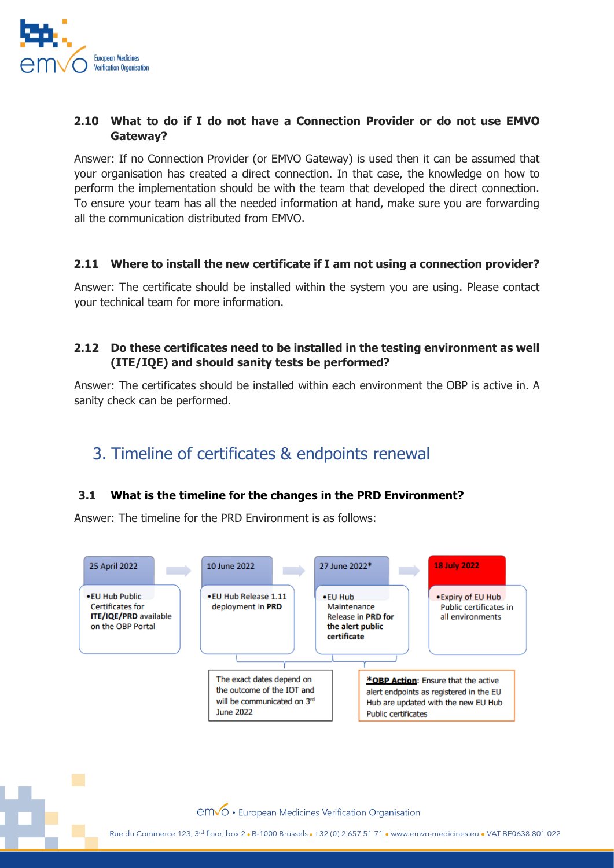

#### **2.10 What to do if I do not have a Connection Provider or do not use EMVO Gateway?**

Answer: If no Connection Provider (or EMVO Gateway) is used then it can be assumed that your organisation has created a direct connection. In that case, the knowledge on how to perform the implementation should be with the team that developed the direct connection. To ensure your team has all the needed information at hand, make sure you are forwarding all the communication distributed from EMVO.

#### **2.11 Where to install the new certificate if I am not using a connection provider?**

Answer: The certificate should be installed within the system you are using. Please contact your technical team for more information.

#### **2.12 Do these certificates need to be installed in the testing environment as well (ITE/IQE) and should sanity tests be performed?**

Answer: The certificates should be installed within each environment the OBP is active in. A sanity check can be performed.

## <span id="page-4-0"></span>3. Timeline of certificates & endpoints renewal

#### **3.1 What is the timeline for the changes in the PRD Environment?**

Answer: The timeline for the PRD Environment is as follows: